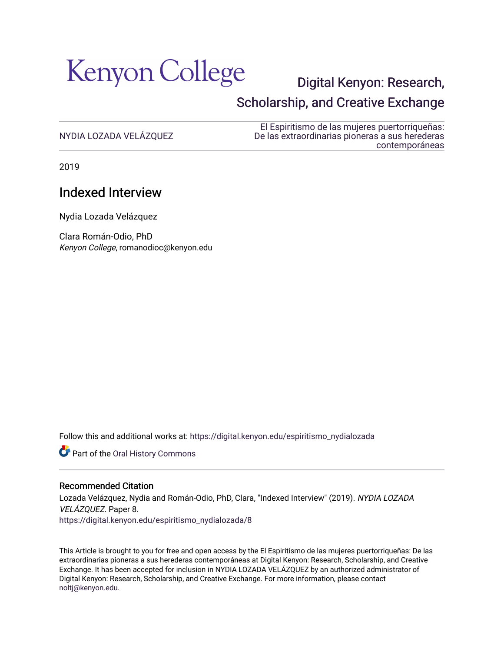

# [Digital Kenyon: Research,](https://digital.kenyon.edu/)  [Scholarship, and Creative Exchange](https://digital.kenyon.edu/)

# [NYDIA LOZADA VELÁZQUEZ](https://digital.kenyon.edu/espiritismo_nydialozada)

[El Espiritismo de las mujeres puertorriqueñas:](https://digital.kenyon.edu/espiritismo)  [De las extraordinarias pioneras a sus herederas](https://digital.kenyon.edu/espiritismo)  [contemporáneas](https://digital.kenyon.edu/espiritismo) 

2019

# Indexed Interview

Nydia Lozada Velázquez

Clara Román-Odio, PhD Kenyon College, romanodioc@kenyon.edu

Follow this and additional works at: [https://digital.kenyon.edu/espiritismo\\_nydialozada](https://digital.kenyon.edu/espiritismo_nydialozada?utm_source=digital.kenyon.edu%2Fespiritismo_nydialozada%2F8&utm_medium=PDF&utm_campaign=PDFCoverPages)

Part of the [Oral History Commons](http://network.bepress.com/hgg/discipline/1195?utm_source=digital.kenyon.edu%2Fespiritismo_nydialozada%2F8&utm_medium=PDF&utm_campaign=PDFCoverPages) 

#### Recommended Citation

Lozada Velázquez, Nydia and Román-Odio, PhD, Clara, "Indexed Interview" (2019). NYDIA LOZADA VELÁZQUEZ. Paper 8.

[https://digital.kenyon.edu/espiritismo\\_nydialozada/8](https://digital.kenyon.edu/espiritismo_nydialozada/8?utm_source=digital.kenyon.edu%2Fespiritismo_nydialozada%2F8&utm_medium=PDF&utm_campaign=PDFCoverPages)

This Article is brought to you for free and open access by the El Espiritismo de las mujeres puertorriqueñas: De las extraordinarias pioneras a sus herederas contemporáneas at Digital Kenyon: Research, Scholarship, and Creative Exchange. It has been accepted for inclusion in NYDIA LOZADA VELÁZQUEZ by an authorized administrator of Digital Kenyon: Research, Scholarship, and Creative Exchange. For more information, please contact [noltj@kenyon.edu](mailto:noltj@kenyon.edu).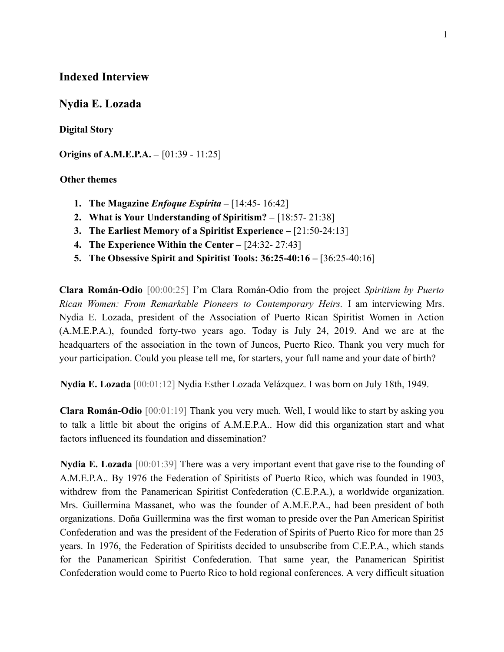## **Indexed Interview**

### **Nydia E. Lozada**

#### **Digital Story**

**Origins of A.M.E.P.A.** – [01:39 - 11:25]

#### **Other themes**

- **1. The Magazine** *Enfoque Espírita* **–** [14:45- 16:42]
- **2. What is Your Understanding of Spiritism? –** [18:57- 21:38]
- **3. The Earliest Memory of a Spiritist Experience –** [21:50-24:13]
- **4. The Experience Within the Center –** [24:32- 27:43]
- **5. The Obsessive Spirit and Spiritist Tools: 36:25-40:16 –** [36:25-40:16]

**Clara Román-Odio** [00:00:25] I'm Clara Román-Odio from the project *Spiritism by Puerto Rican Women: From Remarkable Pioneers to Contemporary Heirs.* I am interviewing Mrs. Nydia E. Lozada, president of the Association of Puerto Rican Spiritist Women in Action (A.M.E.P.A.), founded forty-two years ago. Today is July 24, 2019. And we are at the headquarters of the association in the town of Juncos, Puerto Rico. Thank you very much for your participation. Could you please tell me, for starters, your full name and your date of birth?

**Nydia E. Lozada** [00:01:12] Nydia Esther Lozada Velázquez. I was born on July 18th, 1949.

**Clara Román-Odio** [00:01:19] Thank you very much. Well, I would like to start by asking you to talk a little bit about the origins of A.M.E.P.A.. How did this organization start and what factors influenced its foundation and dissemination?

**Nydia E. Lozada** [00:01:39] There was a very important event that gave rise to the founding of A.M.E.P.A.. By 1976 the Federation of Spiritists of Puerto Rico, which was founded in 1903, withdrew from the Panamerican Spiritist Confederation (C.E.P.A.), a worldwide organization. Mrs. Guillermina Massanet, who was the founder of A.M.E.P.A., had been president of both organizations. Doña Guillermina was the first woman to preside over the Pan American Spiritist Confederation and was the president of the Federation of Spirits of Puerto Rico for more than 25 years. In 1976, the Federation of Spiritists decided to unsubscribe from C.E.P.A., which stands for the Panamerican Spiritist Confederation. That same year, the Panamerican Spiritist Confederation would come to Puerto Rico to hold regional conferences. A very difficult situation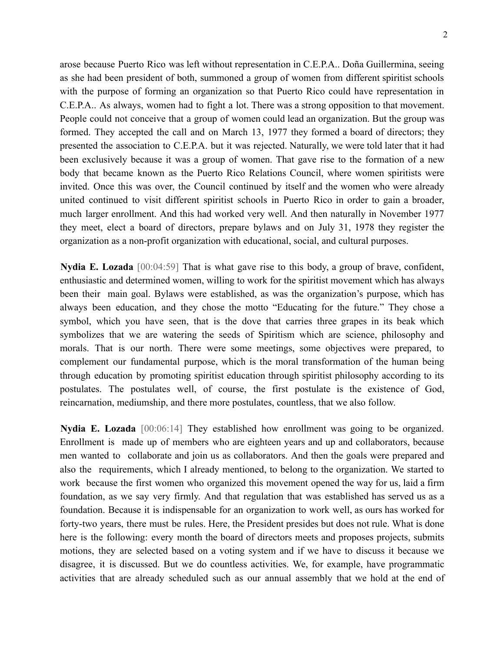arose because Puerto Rico was left without representation in C.E.P.A.. Doña Guillermina, seeing as she had been president of both, summoned a group of women from different spiritist schools with the purpose of forming an organization so that Puerto Rico could have representation in C.E.P.A.. As always, women had to fight a lot. There was a strong opposition to that movement. People could not conceive that a group of women could lead an organization. But the group was formed. They accepted the call and on March 13, 1977 they formed a board of directors; they presented the association to C.E.P.A. but it was rejected. Naturally, we were told later that it had been exclusively because it was a group of women. That gave rise to the formation of a new body that became known as the Puerto Rico Relations Council, where women spiritists were invited. Once this was over, the Council continued by itself and the women who were already united continued to visit different spiritist schools in Puerto Rico in order to gain a broader, much larger enrollment. And this had worked very well. And then naturally in November 1977 they meet, elect a board of directors, prepare bylaws and on July 31, 1978 they register the organization as a non-profit organization with educational, social, and cultural purposes.

**Nydia E. Lozada** [00:04:59] That is what gave rise to this body, a group of brave, confident, enthusiastic and determined women, willing to work for the spiritist movement which has always been their main goal. Bylaws were established, as was the organization's purpose, which has always been education, and they chose the motto "Educating for the future." They chose a symbol, which you have seen, that is the dove that carries three grapes in its beak which symbolizes that we are watering the seeds of Spiritism which are science, philosophy and morals. That is our north. There were some meetings, some objectives were prepared, to complement our fundamental purpose, which is the moral transformation of the human being through education by promoting spiritist education through spiritist philosophy according to its postulates. The postulates well, of course, the first postulate is the existence of God, reincarnation, mediumship, and there more postulates, countless, that we also follow.

**Nydia E. Lozada** [00:06:14] They established how enrollment was going to be organized. Enrollment is made up of members who are eighteen years and up and collaborators, because men wanted to collaborate and join us as collaborators. And then the goals were prepared and also the requirements, which I already mentioned, to belong to the organization. We started to work because the first women who organized this movement opened the way for us, laid a firm foundation, as we say very firmly. And that regulation that was established has served us as a foundation. Because it is indispensable for an organization to work well, as ours has worked for forty-two years, there must be rules. Here, the President presides but does not rule. What is done here is the following: every month the board of directors meets and proposes projects, submits motions, they are selected based on a voting system and if we have to discuss it because we disagree, it is discussed. But we do countless activities. We, for example, have programmatic activities that are already scheduled such as our annual assembly that we hold at the end of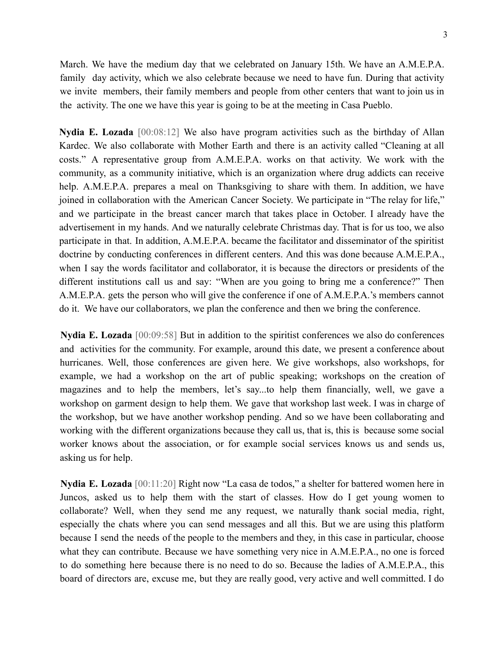March. We have the medium day that we celebrated on January 15th. We have an A.M.E.P.A. family day activity, which we also celebrate because we need to have fun. During that activity we invite members, their family members and people from other centers that want to join us in the activity. The one we have this year is going to be at the meeting in Casa Pueblo.

**Nydia E. Lozada** [00:08:12] We also have program activities such as the birthday of Allan Kardec. We also collaborate with Mother Earth and there is an activity called "Cleaning at all costs." A representative group from A.M.E.P.A. works on that activity. We work with the community, as a community initiative, which is an organization where drug addicts can receive help. A.M.E.P.A. prepares a meal on Thanksgiving to share with them. In addition, we have joined in collaboration with the American Cancer Society. We participate in "The relay for life," and we participate in the breast cancer march that takes place in October. I already have the advertisement in my hands. And we naturally celebrate Christmas day. That is for us too, we also participate in that. In addition, A.M.E.P.A. became the facilitator and disseminator of the spiritist doctrine by conducting conferences in different centers. And this was done because A.M.E.P.A., when I say the words facilitator and collaborator, it is because the directors or presidents of the different institutions call us and say: "When are you going to bring me a conference?" Then A.M.E.P.A. gets the person who will give the conference if one of A.M.E.P.A.'s members cannot do it. We have our collaborators, we plan the conference and then we bring the conference.

**Nydia E. Lozada** [00:09:58] But in addition to the spiritist conferences we also do conferences and activities for the community. For example, around this date, we present a conference about hurricanes. Well, those conferences are given here. We give workshops, also workshops, for example, we had a workshop on the art of public speaking; workshops on the creation of magazines and to help the members, let's say...to help them financially, well, we gave a workshop on garment design to help them. We gave that workshop last week. I was in charge of the workshop, but we have another workshop pending. And so we have been collaborating and working with the different organizations because they call us, that is, this is because some social worker knows about the association, or for example social services knows us and sends us, asking us for help.

**Nydia E. Lozada** [00:11:20] Right now "La casa de todos," a shelter for battered women here in Juncos, asked us to help them with the start of classes. How do I get young women to collaborate? Well, when they send me any request, we naturally thank social media, right, especially the chats where you can send messages and all this. But we are using this platform because I send the needs of the people to the members and they, in this case in particular, choose what they can contribute. Because we have something very nice in A.M.E.P.A., no one is forced to do something here because there is no need to do so. Because the ladies of A.M.E.P.A., this board of directors are, excuse me, but they are really good, very active and well committed. I do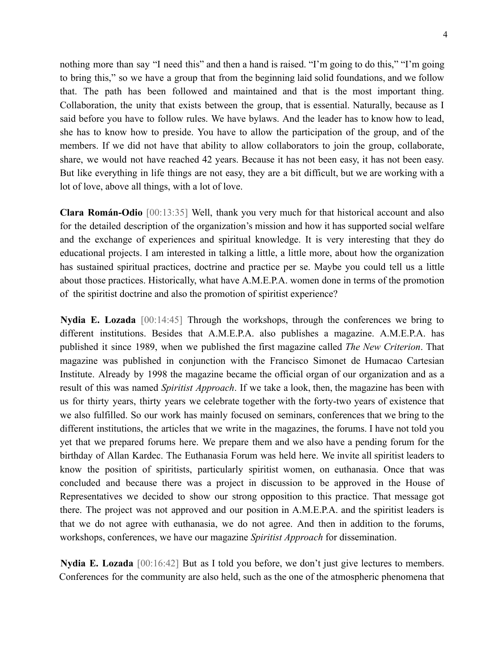nothing more than say "I need this" and then a hand is raised. "I'm going to do this," "I'm going to bring this," so we have a group that from the beginning laid solid foundations, and we follow that. The path has been followed and maintained and that is the most important thing. Collaboration, the unity that exists between the group, that is essential. Naturally, because as I said before you have to follow rules. We have bylaws. And the leader has to know how to lead, she has to know how to preside. You have to allow the participation of the group, and of the members. If we did not have that ability to allow collaborators to join the group, collaborate, share, we would not have reached 42 years. Because it has not been easy, it has not been easy. But like everything in life things are not easy, they are a bit difficult, but we are working with a lot of love, above all things, with a lot of love.

**Clara Román-Odio** [00:13:35] Well, thank you very much for that historical account and also for the detailed description of the organization's mission and how it has supported social welfare and the exchange of experiences and spiritual knowledge. It is very interesting that they do educational projects. I am interested in talking a little, a little more, about how the organization has sustained spiritual practices, doctrine and practice per se. Maybe you could tell us a little about those practices. Historically, what have A.M.E.P.A. women done in terms of the promotion of the spiritist doctrine and also the promotion of spiritist experience?

**Nydia E. Lozada** [00:14:45] Through the workshops, through the conferences we bring to different institutions. Besides that A.M.E.P.A. also publishes a magazine. A.M.E.P.A. has published it since 1989, when we published the first magazine called *The New Criterion*. That magazine was published in conjunction with the Francisco Simonet de Humacao Cartesian Institute. Already by 1998 the magazine became the official organ of our organization and as a result of this was named *Spiritist Approach*. If we take a look, then, the magazine has been with us for thirty years, thirty years we celebrate together with the forty-two years of existence that we also fulfilled. So our work has mainly focused on seminars, conferences that we bring to the different institutions, the articles that we write in the magazines, the forums. I have not told you yet that we prepared forums here. We prepare them and we also have a pending forum for the birthday of Allan Kardec. The Euthanasia Forum was held here. We invite all spiritist leaders to know the position of spiritists, particularly spiritist women, on euthanasia. Once that was concluded and because there was a project in discussion to be approved in the House of Representatives we decided to show our strong opposition to this practice. That message got there. The project was not approved and our position in A.M.E.P.A. and the spiritist leaders is that we do not agree with euthanasia, we do not agree. And then in addition to the forums, workshops, conferences, we have our magazine *Spiritist Approach* for dissemination.

**Nydia E. Lozada** [00:16:42] But as I told you before, we don't just give lectures to members. Conferences for the community are also held, such as the one of the atmospheric phenomena that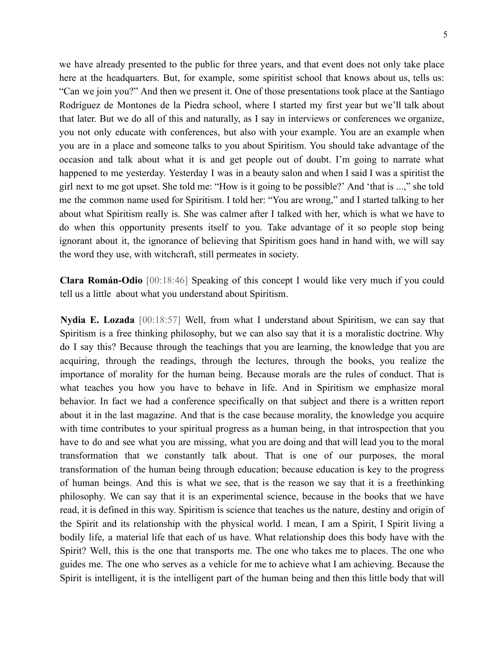we have already presented to the public for three years, and that event does not only take place here at the headquarters. But, for example, some spiritist school that knows about us, tells us: "Can we join you?" And then we present it. One of those presentations took place at the Santiago Rodríguez de Montones de la Piedra school, where I started my first year but we'll talk about that later. But we do all of this and naturally, as I say in interviews or conferences we organize, you not only educate with conferences, but also with your example. You are an example when you are in a place and someone talks to you about Spiritism. You should take advantage of the occasion and talk about what it is and get people out of doubt. I'm going to narrate what happened to me yesterday. Yesterday I was in a beauty salon and when I said I was a spiritist the girl next to me got upset. She told me: "How is it going to be possible?' And 'that is ...," she told me the common name used for Spiritism. I told her: "You are wrong," and I started talking to her about what Spiritism really is. She was calmer after I talked with her, which is what we have to do when this opportunity presents itself to you. Take advantage of it so people stop being ignorant about it, the ignorance of believing that Spiritism goes hand in hand with, we will say the word they use, with witchcraft, still permeates in society.

**Clara Román-Odio** [00:18:46] Speaking of this concept I would like very much if you could tell us a little about what you understand about Spiritism.

**Nydia E. Lozada** [00:18:57] Well, from what I understand about Spiritism, we can say that Spiritism is a free thinking philosophy, but we can also say that it is a moralistic doctrine. Why do I say this? Because through the teachings that you are learning, the knowledge that you are acquiring, through the readings, through the lectures, through the books, you realize the importance of morality for the human being. Because morals are the rules of conduct. That is what teaches you how you have to behave in life. And in Spiritism we emphasize moral behavior. In fact we had a conference specifically on that subject and there is a written report about it in the last magazine. And that is the case because morality, the knowledge you acquire with time contributes to your spiritual progress as a human being, in that introspection that you have to do and see what you are missing, what you are doing and that will lead you to the moral transformation that we constantly talk about. That is one of our purposes, the moral transformation of the human being through education; because education is key to the progress of human beings. And this is what we see, that is the reason we say that it is a freethinking philosophy. We can say that it is an experimental science, because in the books that we have read, it is defined in this way. Spiritism is science that teaches us the nature, destiny and origin of the Spirit and its relationship with the physical world. I mean, I am a Spirit, I Spirit living a bodily life, a material life that each of us have. What relationship does this body have with the Spirit? Well, this is the one that transports me. The one who takes me to places. The one who guides me. The one who serves as a vehicle for me to achieve what I am achieving. Because the Spirit is intelligent, it is the intelligent part of the human being and then this little body that will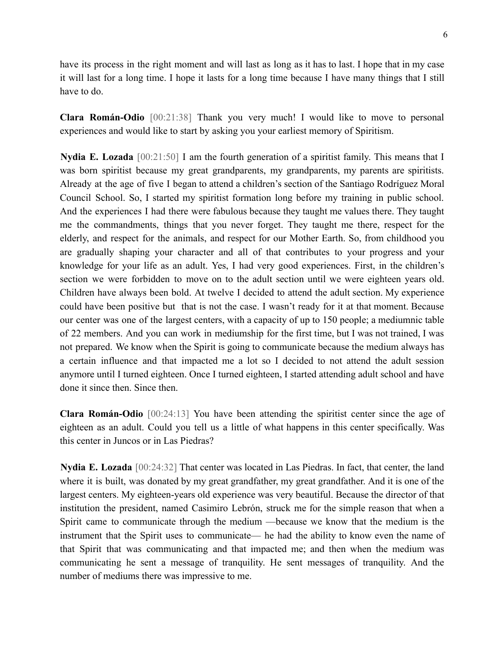have its process in the right moment and will last as long as it has to last. I hope that in my case it will last for a long time. I hope it lasts for a long time because I have many things that I still have to do.

**Clara Román-Odio** [00:21:38] Thank you very much! I would like to move to personal experiences and would like to start by asking you your earliest memory of Spiritism.

**Nydia E. Lozada** [00:21:50] I am the fourth generation of a spiritist family. This means that I was born spiritist because my great grandparents, my grandparents, my parents are spiritists. Already at the age of five I began to attend a children's section of the Santiago Rodríguez Moral Council School. So, I started my spiritist formation long before my training in public school. And the experiences I had there were fabulous because they taught me values there. They taught me the commandments, things that you never forget. They taught me there, respect for the elderly, and respect for the animals, and respect for our Mother Earth. So, from childhood you are gradually shaping your character and all of that contributes to your progress and your knowledge for your life as an adult. Yes, I had very good experiences. First, in the children's section we were forbidden to move on to the adult section until we were eighteen years old. Children have always been bold. At twelve I decided to attend the adult section. My experience could have been positive but that is not the case. I wasn't ready for it at that moment. Because our center was one of the largest centers, with a capacity of up to 150 people; a mediumnic table of 22 members. And you can work in mediumship for the first time, but I was not trained, I was not prepared. We know when the Spirit is going to communicate because the medium always has a certain influence and that impacted me a lot so I decided to not attend the adult session anymore until I turned eighteen. Once I turned eighteen, I started attending adult school and have done it since then. Since then.

**Clara Román-Odio** [00:24:13] You have been attending the spiritist center since the age of eighteen as an adult. Could you tell us a little of what happens in this center specifically. Was this center in Juncos or in Las Piedras?

**Nydia E. Lozada** [00:24:32] That center was located in Las Piedras. In fact, that center, the land where it is built, was donated by my great grandfather, my great grandfather. And it is one of the largest centers. My eighteen-years old experience was very beautiful. Because the director of that institution the president, named Casimiro Lebrón, struck me for the simple reason that when a Spirit came to communicate through the medium —because we know that the medium is the instrument that the Spirit uses to communicate— he had the ability to know even the name of that Spirit that was communicating and that impacted me; and then when the medium was communicating he sent a message of tranquility. He sent messages of tranquility. And the number of mediums there was impressive to me.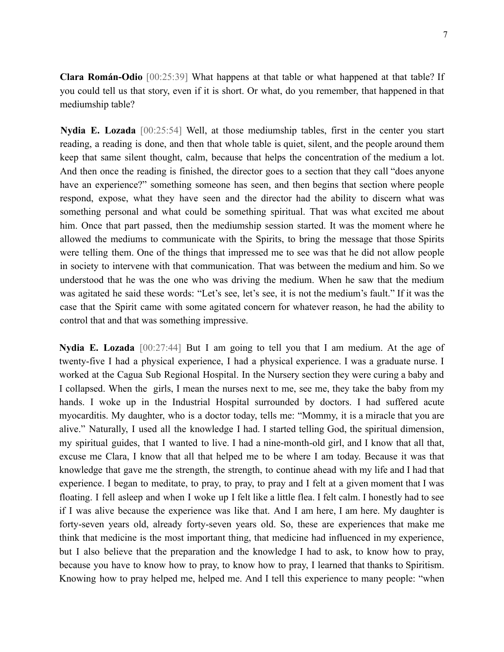**Clara Román-Odio** [00:25:39] What happens at that table or what happened at that table? If you could tell us that story, even if it is short. Or what, do you remember, that happened in that mediumship table?

**Nydia E. Lozada** [00:25:54] Well, at those mediumship tables, first in the center you start reading, a reading is done, and then that whole table is quiet, silent, and the people around them keep that same silent thought, calm, because that helps the concentration of the medium a lot. And then once the reading is finished, the director goes to a section that they call "does anyone have an experience?" something someone has seen, and then begins that section where people respond, expose, what they have seen and the director had the ability to discern what was something personal and what could be something spiritual. That was what excited me about him. Once that part passed, then the mediumship session started. It was the moment where he allowed the mediums to communicate with the Spirits, to bring the message that those Spirits were telling them. One of the things that impressed me to see was that he did not allow people in society to intervene with that communication. That was between the medium and him. So we understood that he was the one who was driving the medium. When he saw that the medium was agitated he said these words: "Let's see, let's see, it is not the medium's fault." If it was the case that the Spirit came with some agitated concern for whatever reason, he had the ability to control that and that was something impressive.

**Nydia E. Lozada** [00:27:44] But I am going to tell you that I am medium. At the age of twenty-five I had a physical experience, I had a physical experience. I was a graduate nurse. I worked at the Cagua Sub Regional Hospital. In the Nursery section they were curing a baby and I collapsed. When the girls, I mean the nurses next to me, see me, they take the baby from my hands. I woke up in the Industrial Hospital surrounded by doctors. I had suffered acute myocarditis. My daughter, who is a doctor today, tells me: "Mommy, it is a miracle that you are alive." Naturally, I used all the knowledge I had. I started telling God, the spiritual dimension, my spiritual guides, that I wanted to live. I had a nine-month-old girl, and I know that all that, excuse me Clara, I know that all that helped me to be where I am today. Because it was that knowledge that gave me the strength, the strength, to continue ahead with my life and I had that experience. I began to meditate, to pray, to pray, to pray and I felt at a given moment that I was floating. I fell asleep and when I woke up I felt like a little flea. I felt calm. I honestly had to see if I was alive because the experience was like that. And I am here, I am here. My daughter is forty-seven years old, already forty-seven years old. So, these are experiences that make me think that medicine is the most important thing, that medicine had influenced in my experience, but I also believe that the preparation and the knowledge I had to ask, to know how to pray, because you have to know how to pray, to know how to pray, I learned that thanks to Spiritism. Knowing how to pray helped me, helped me. And I tell this experience to many people: "when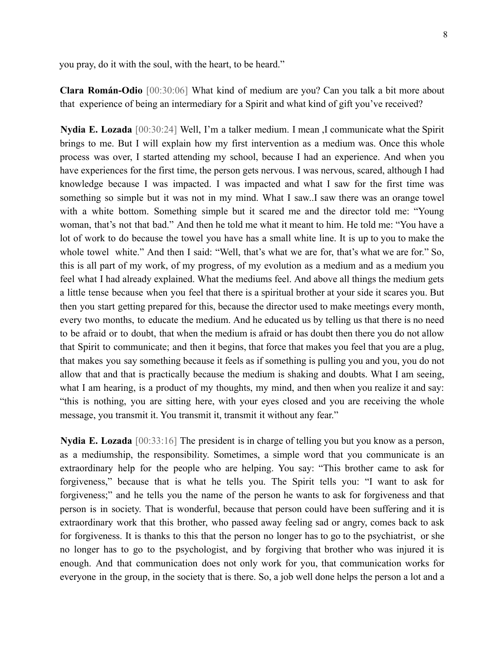you pray, do it with the soul, with the heart, to be heard."

**Clara Román-Odio** [00:30:06] What kind of medium are you? Can you talk a bit more about that experience of being an intermediary for a Spirit and what kind of gift you've received?

**Nydia E. Lozada** [00:30:24] Well, I'm a talker medium. I mean ,I communicate what the Spirit brings to me. But I will explain how my first intervention as a medium was. Once this whole process was over, I started attending my school, because I had an experience. And when you have experiences for the first time, the person gets nervous. I was nervous, scared, although I had knowledge because I was impacted. I was impacted and what I saw for the first time was something so simple but it was not in my mind. What I saw..I saw there was an orange towel with a white bottom. Something simple but it scared me and the director told me: "Young woman, that's not that bad." And then he told me what it meant to him. He told me: "You have a lot of work to do because the towel you have has a small white line. It is up to you to make the whole towel white." And then I said: "Well, that's what we are for, that's what we are for." So, this is all part of my work, of my progress, of my evolution as a medium and as a medium you feel what I had already explained. What the mediums feel. And above all things the medium gets a little tense because when you feel that there is a spiritual brother at your side it scares you. But then you start getting prepared for this, because the director used to make meetings every month, every two months, to educate the medium. And he educated us by telling us that there is no need to be afraid or to doubt, that when the medium is afraid or has doubt then there you do not allow that Spirit to communicate; and then it begins, that force that makes you feel that you are a plug, that makes you say something because it feels as if something is pulling you and you, you do not allow that and that is practically because the medium is shaking and doubts. What I am seeing, what I am hearing, is a product of my thoughts, my mind, and then when you realize it and say: "this is nothing, you are sitting here, with your eyes closed and you are receiving the whole message, you transmit it. You transmit it, transmit it without any fear."

**Nydia E. Lozada** [00:33:16] The president is in charge of telling you but you know as a person, as a mediumship, the responsibility. Sometimes, a simple word that you communicate is an extraordinary help for the people who are helping. You say: "This brother came to ask for forgiveness," because that is what he tells you. The Spirit tells you: "I want to ask for forgiveness;" and he tells you the name of the person he wants to ask for forgiveness and that person is in society. That is wonderful, because that person could have been suffering and it is extraordinary work that this brother, who passed away feeling sad or angry, comes back to ask for forgiveness. It is thanks to this that the person no longer has to go to the psychiatrist, or she no longer has to go to the psychologist, and by forgiving that brother who was injured it is enough. And that communication does not only work for you, that communication works for everyone in the group, in the society that is there. So, a job well done helps the person a lot and a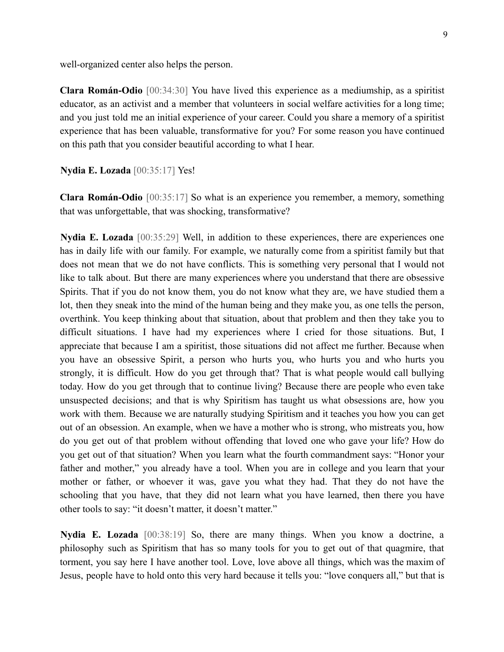well-organized center also helps the person.

**Clara Román-Odio** [00:34:30] You have lived this experience as a mediumship, as a spiritist educator, as an activist and a member that volunteers in social welfare activities for a long time; and you just told me an initial experience of your career. Could you share a memory of a spiritist experience that has been valuable, transformative for you? For some reason you have continued on this path that you consider beautiful according to what I hear.

**Nydia E. Lozada** [00:35:17] Yes!

**Clara Román-Odio** [00:35:17] So what is an experience you remember, a memory, something that was unforgettable, that was shocking, transformative?

**Nydia E. Lozada** [00:35:29] Well, in addition to these experiences, there are experiences one has in daily life with our family. For example, we naturally come from a spiritist family but that does not mean that we do not have conflicts. This is something very personal that I would not like to talk about. But there are many experiences where you understand that there are obsessive Spirits. That if you do not know them, you do not know what they are, we have studied them a lot, then they sneak into the mind of the human being and they make you, as one tells the person, overthink. You keep thinking about that situation, about that problem and then they take you to difficult situations. I have had my experiences where I cried for those situations. But, I appreciate that because I am a spiritist, those situations did not affect me further. Because when you have an obsessive Spirit, a person who hurts you, who hurts you and who hurts you strongly, it is difficult. How do you get through that? That is what people would call bullying today. How do you get through that to continue living? Because there are people who even take unsuspected decisions; and that is why Spiritism has taught us what obsessions are, how you work with them. Because we are naturally studying Spiritism and it teaches you how you can get out of an obsession. An example, when we have a mother who is strong, who mistreats you, how do you get out of that problem without offending that loved one who gave your life? How do you get out of that situation? When you learn what the fourth commandment says: "Honor your father and mother," you already have a tool. When you are in college and you learn that your mother or father, or whoever it was, gave you what they had. That they do not have the schooling that you have, that they did not learn what you have learned, then there you have other tools to say: "it doesn't matter, it doesn't matter."

**Nydia E. Lozada** [00:38:19] So, there are many things. When you know a doctrine, a philosophy such as Spiritism that has so many tools for you to get out of that quagmire, that torment, you say here I have another tool. Love, love above all things, which was the maxim of Jesus, people have to hold onto this very hard because it tells you: "love conquers all," but that is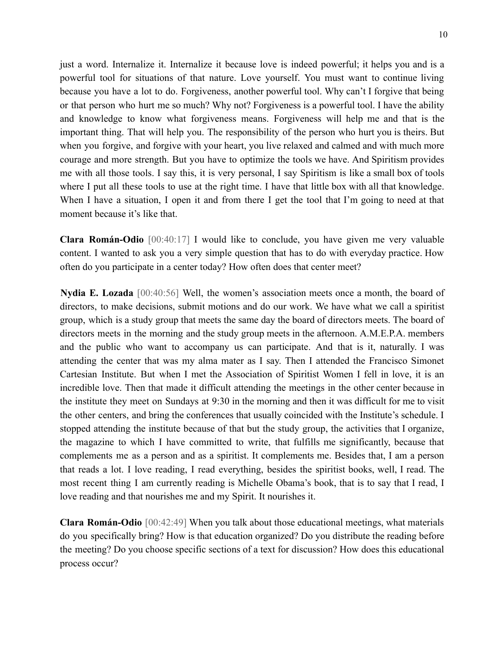just a word. Internalize it. Internalize it because love is indeed powerful; it helps you and is a powerful tool for situations of that nature. Love yourself. You must want to continue living because you have a lot to do. Forgiveness, another powerful tool. Why can't I forgive that being or that person who hurt me so much? Why not? Forgiveness is a powerful tool. I have the ability and knowledge to know what forgiveness means. Forgiveness will help me and that is the important thing. That will help you. The responsibility of the person who hurt you is theirs. But when you forgive, and forgive with your heart, you live relaxed and calmed and with much more courage and more strength. But you have to optimize the tools we have. And Spiritism provides me with all those tools. I say this, it is very personal, I say Spiritism is like a small box of tools where I put all these tools to use at the right time. I have that little box with all that knowledge. When I have a situation, I open it and from there I get the tool that I'm going to need at that moment because it's like that.

**Clara Román-Odio** [00:40:17] I would like to conclude, you have given me very valuable content. I wanted to ask you a very simple question that has to do with everyday practice. How often do you participate in a center today? How often does that center meet?

**Nydia E. Lozada** [00:40:56] Well, the women's association meets once a month, the board of directors, to make decisions, submit motions and do our work. We have what we call a spiritist group, which is a study group that meets the same day the board of directors meets. The board of directors meets in the morning and the study group meets in the afternoon. A.M.E.P.A. members and the public who want to accompany us can participate. And that is it, naturally. I was attending the center that was my alma mater as I say. Then I attended the Francisco Simonet Cartesian Institute. But when I met the Association of Spiritist Women I fell in love, it is an incredible love. Then that made it difficult attending the meetings in the other center because in the institute they meet on Sundays at 9:30 in the morning and then it was difficult for me to visit the other centers, and bring the conferences that usually coincided with the Institute's schedule. I stopped attending the institute because of that but the study group, the activities that I organize, the magazine to which I have committed to write, that fulfills me significantly, because that complements me as a person and as a spiritist. It complements me. Besides that, I am a person that reads a lot. I love reading, I read everything, besides the spiritist books, well, I read. The most recent thing I am currently reading is Michelle Obama's book, that is to say that I read, I love reading and that nourishes me and my Spirit. It nourishes it.

**Clara Román-Odio** [00:42:49] When you talk about those educational meetings, what materials do you specifically bring? How is that education organized? Do you distribute the reading before the meeting? Do you choose specific sections of a text for discussion? How does this educational process occur?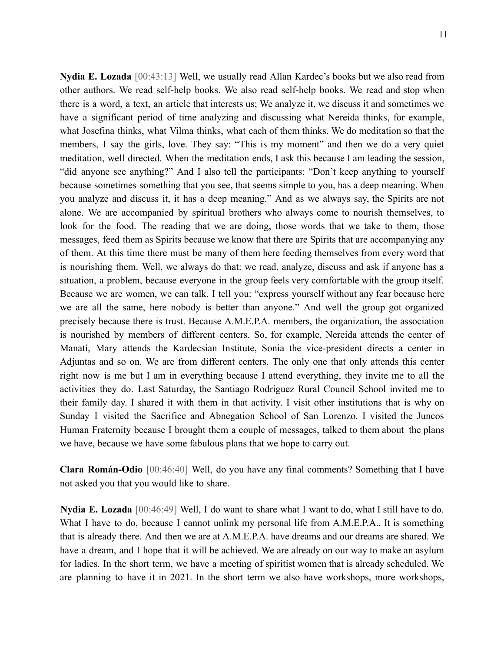11

**Nydia E. Lozada** [00:43:13] Well, we usually read Allan Kardec's books but we also read from other authors. We read self-help books. We also read self-help books. We read and stop when there is a word, a text, an article that interests us; We analyze it, we discuss it and sometimes we have a significant period of time analyzing and discussing what Nereida thinks, for example, what Josefina thinks, what Vilma thinks, what each of them thinks. We do meditation so that the members, I say the girls, love. They say: "This is my moment" and then we do a very quiet meditation, well directed. When the meditation ends, I ask this because I am leading the session, "did anyone see anything?" And I also tell the participants: "Don't keep anything to yourself because sometimes something that you see, that seems simple to you, has a deep meaning. When you analyze and discuss it, it has a deep meaning." And as we always say, the Spirits are not alone. We are accompanied by spiritual brothers who always come to nourish themselves, to look for the food. The reading that we are doing, those words that we take to them, those messages, feed them as Spirits because we know that there are Spirits that are accompanying any of them. At this time there must be many of them here feeding themselves from every word that is nourishing them. Well, we always do that: we read, analyze, discuss and ask if anyone has a situation, a problem, because everyone in the group feels very comfortable with the group itself. Because we are women, we can talk. I tell you: "express yourself without any fear because here we are all the same, here nobody is better than anyone." And well the group got organized precisely because there is trust. Because A.M.E.P.A. members, the organization, the association is nourished by members of different centers. So, for example, Nereida attends the center of Manatí, Mary attends the Kardecsian Institute, Sonia the vice-president directs a center in Adjuntas and so on. We are from different centers. The only one that only attends this center right now is me but I am in everything because I attend everything, they invite me to all the activities they do. Last Saturday, the Santiago Rodríguez Rural Council School invited me to their family day. I shared it with them in that activity. I visit other institutions that is why on Sunday I visited the Sacrifice and Abnegation School of San Lorenzo. I visited the Juncos Human Fraternity because I brought them a couple of messages, talked to them about the plans we have, because we have some fabulous plans that we hope to carry out.

**Clara Román-Odio** [00:46:40] Well, do you have any final comments? Something that I have not asked you that you would like to share.

**Nydia E. Lozada** [00:46:49] Well, I do want to share what I want to do, what I still have to do. What I have to do, because I cannot unlink my personal life from A.M.E.P.A.. It is something that is already there. And then we are at A.M.E.P.A. have dreams and our dreams are shared. We have a dream, and I hope that it will be achieved. We are already on our way to make an asylum for ladies. In the short term, we have a meeting of spiritist women that is already scheduled. We are planning to have it in 2021. In the short term we also have workshops, more workshops,